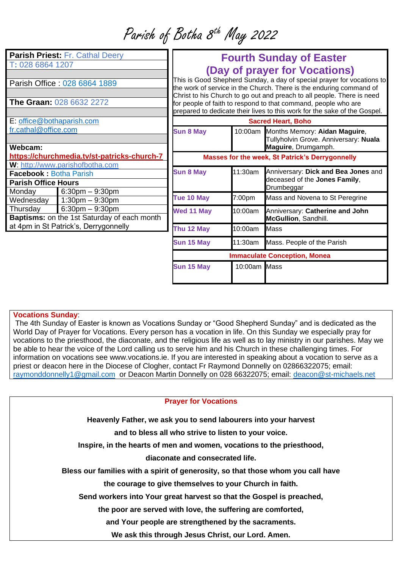Parish of Botha 8<sup>th</sup> May 2022

| <b>Parish Priest: Fr. Cathal Deery</b> |                                             |  |
|----------------------------------------|---------------------------------------------|--|
| T: 028 6864 1207                       |                                             |  |
|                                        |                                             |  |
| Parish Office: 028 6864 1889           |                                             |  |
|                                        |                                             |  |
| The Graan: 028 6632 2272               |                                             |  |
|                                        |                                             |  |
| E: office@bothaparish.com              |                                             |  |
| fr.cathal@office.com                   |                                             |  |
|                                        |                                             |  |
| Webcam:                                |                                             |  |
|                                        | https://churchmedia.tv/st-patricks-church-7 |  |
| W: http://www.parishofbotha.com        |                                             |  |
| <b>Facebook: Botha Parish</b>          |                                             |  |
| <b>Parish Office Hours</b>             |                                             |  |
| Monday                                 | $6:30pm - 9:30pm$                           |  |
|                                        | Wednesday $1:30 \text{pm} - 9:30 \text{pm}$ |  |
|                                        | Thursday $6:30 \text{pm} - 9:30 \text{pm}$  |  |
|                                        | Baptisms: on the 1st Saturday of each month |  |
| at 4pm in St Patrick's, Derrygonnelly  |                                             |  |
|                                        |                                             |  |

## **Fourth Sunday of Easter (Day of prayer for Vocations)**

This is Good Shepherd Sunday, a day of special prayer for vocations to he work of service in the Church. There is the enduring command of Christ to his Church to go out and preach to all people. There is need or people of faith to respond to that command, people who are prepared to dedicate their lives to this work for the sake of the Gospel.

| <b>Sacred Heart, Boho</b>                       |              |                                                                                                       |  |
|-------------------------------------------------|--------------|-------------------------------------------------------------------------------------------------------|--|
| <b>Sun 8 May</b>                                |              | 10:00am Months Memory: Aidan Maguire,<br>Tullyholvin Grove. Anniversary: Nuala<br>Maguire, Drumgamph. |  |
| Masses for the week, St Patrick's Derrygonnelly |              |                                                                                                       |  |
| <b>Sun 8 May</b>                                | 11:30am      | Anniversary: Dick and Bea Jones and<br>deceased of the Jones Family,<br>Drumbeggar                    |  |
| Tue 10 May                                      | 7:00pm       | Mass and Novena to St Peregrine                                                                       |  |
| <b>Wed 11 May</b>                               | 10:00am      | Anniversary: Catherine and John<br>McGullion, Sandhill.                                               |  |
| Thu 12 May                                      | 10:00am      | <b>Mass</b>                                                                                           |  |
| Sun 15 May                                      | 11:30am      | Mass. People of the Parish                                                                            |  |
| <b>Immaculate Conception, Monea</b>             |              |                                                                                                       |  |
| Sun 15 May                                      | 10:00am Mass |                                                                                                       |  |

## **Vocations Sunday**:

The 4th Sunday of Easter is known as Vocations Sunday or "Good Shepherd Sunday" and is dedicated as the World Day of Prayer for Vocations. Every person has a vocation in life. On this Sunday we especially pray for vocations to the priesthood, the diaconate, and the religious life as well as to lay ministry in our parishes. May we be able to hear the voice of the Lord calling us to serve him and his Church in these challenging times. For information on vocations see www.vocations.ie. If you are interested in speaking about a vocation to serve as a priest or deacon here in the Diocese of Clogher, contact Fr Raymond Donnelly on 02866322075; email: [raymonddonnelly1@gmail.com](mailto:raymonddonnelly1@gmail.com) or Deacon Martin Donnelly on 028 66322075; email: [deacon@st-michaels.net](mailto:deacon@st-michaels.net)

### **Prayer for Vocations**

**Heavenly Father, we ask you to send labourers into your harvest**

**and to bless all who strive to listen to your voice.**

**Inspire, in the hearts of men and women, vocations to the priesthood,**

**diaconate and consecrated life.**

**Bless our families with a spirit of generosity, so that those whom you call have**

**the courage to give themselves to your Church in faith.**

**Send workers into Your great harvest so that the Gospel is preached,**

**the poor are served with love, the suffering are comforted,**

**and Your people are strengthened by the sacraments.**

**We ask this through Jesus Christ, our Lord. Amen.**